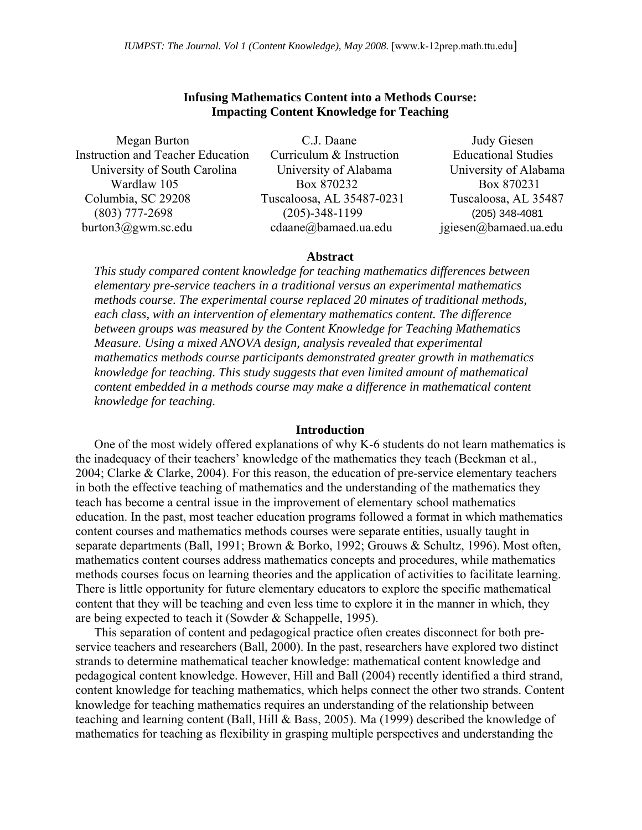# **Infusing Mathematics Content into a Methods Course: Impacting Content Knowledge for Teaching**

Instruction and Teacher Education Curriculum & Instruction Educational Studies University of South Carolina University of Alabama University of Alabama Columbia, SC 29208 Tuscaloosa, AL 35487-0231 Tuscaloosa, AL 35487 (803) 777-2698 (205)-348-1199 (205) 348-4081 burton3@gwm.sc.edu cdaane@bamaed.ua.edu jgiesen@bamaed.ua.edu

 Megan Burton C.J. Daane Judy Giesen Wardlaw 105 Box 870232 Box 870231

#### **Abstract**

*This study compared content knowledge for teaching mathematics differences between elementary pre-service teachers in a traditional versus an experimental mathematics methods course. The experimental course replaced 20 minutes of traditional methods, each class, with an intervention of elementary mathematics content. The difference between groups was measured by the Content Knowledge for Teaching Mathematics Measure. Using a mixed ANOVA design, analysis revealed that experimental mathematics methods course participants demonstrated greater growth in mathematics knowledge for teaching. This study suggests that even limited amount of mathematical content embedded in a methods course may make a difference in mathematical content knowledge for teaching.* 

#### **Introduction**

One of the most widely offered explanations of why K-6 students do not learn mathematics is the inadequacy of their teachers' knowledge of the mathematics they teach (Beckman et al., 2004; Clarke & Clarke, 2004). For this reason, the education of pre-service elementary teachers in both the effective teaching of mathematics and the understanding of the mathematics they teach has become a central issue in the improvement of elementary school mathematics education. In the past, most teacher education programs followed a format in which mathematics content courses and mathematics methods courses were separate entities, usually taught in separate departments (Ball, 1991; Brown & Borko, 1992; Grouws & Schultz, 1996). Most often, mathematics content courses address mathematics concepts and procedures, while mathematics methods courses focus on learning theories and the application of activities to facilitate learning. There is little opportunity for future elementary educators to explore the specific mathematical content that they will be teaching and even less time to explore it in the manner in which, they are being expected to teach it (Sowder & Schappelle, 1995).

This separation of content and pedagogical practice often creates disconnect for both preservice teachers and researchers (Ball, 2000). In the past, researchers have explored two distinct strands to determine mathematical teacher knowledge: mathematical content knowledge and pedagogical content knowledge. However, Hill and Ball (2004) recently identified a third strand, content knowledge for teaching mathematics, which helps connect the other two strands. Content knowledge for teaching mathematics requires an understanding of the relationship between teaching and learning content (Ball, Hill & Bass, 2005). Ma (1999) described the knowledge of mathematics for teaching as flexibility in grasping multiple perspectives and understanding the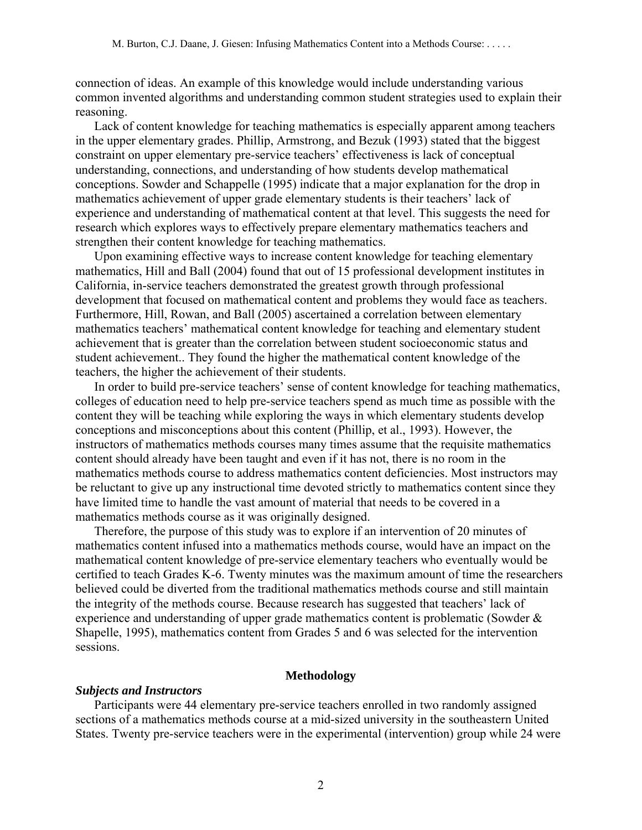connection of ideas. An example of this knowledge would include understanding various common invented algorithms and understanding common student strategies used to explain their reasoning.

Lack of content knowledge for teaching mathematics is especially apparent among teachers in the upper elementary grades. Phillip, Armstrong, and Bezuk (1993) stated that the biggest constraint on upper elementary pre-service teachers' effectiveness is lack of conceptual understanding, connections, and understanding of how students develop mathematical conceptions. Sowder and Schappelle (1995) indicate that a major explanation for the drop in mathematics achievement of upper grade elementary students is their teachers' lack of experience and understanding of mathematical content at that level. This suggests the need for research which explores ways to effectively prepare elementary mathematics teachers and strengthen their content knowledge for teaching mathematics.

Upon examining effective ways to increase content knowledge for teaching elementary mathematics, Hill and Ball (2004) found that out of 15 professional development institutes in California, in-service teachers demonstrated the greatest growth through professional development that focused on mathematical content and problems they would face as teachers. Furthermore, Hill, Rowan, and Ball (2005) ascertained a correlation between elementary mathematics teachers' mathematical content knowledge for teaching and elementary student achievement that is greater than the correlation between student socioeconomic status and student achievement.. They found the higher the mathematical content knowledge of the teachers, the higher the achievement of their students.

In order to build pre-service teachers' sense of content knowledge for teaching mathematics, colleges of education need to help pre-service teachers spend as much time as possible with the content they will be teaching while exploring the ways in which elementary students develop conceptions and misconceptions about this content (Phillip, et al., 1993). However, the instructors of mathematics methods courses many times assume that the requisite mathematics content should already have been taught and even if it has not, there is no room in the mathematics methods course to address mathematics content deficiencies. Most instructors may be reluctant to give up any instructional time devoted strictly to mathematics content since they have limited time to handle the vast amount of material that needs to be covered in a mathematics methods course as it was originally designed.

Therefore, the purpose of this study was to explore if an intervention of 20 minutes of mathematics content infused into a mathematics methods course, would have an impact on the mathematical content knowledge of pre-service elementary teachers who eventually would be certified to teach Grades K-6. Twenty minutes was the maximum amount of time the researchers believed could be diverted from the traditional mathematics methods course and still maintain the integrity of the methods course. Because research has suggested that teachers' lack of experience and understanding of upper grade mathematics content is problematic (Sowder & Shapelle, 1995), mathematics content from Grades 5 and 6 was selected for the intervention sessions.

# **Methodology**

# *Subjects and Instructors*

Participants were 44 elementary pre-service teachers enrolled in two randomly assigned sections of a mathematics methods course at a mid-sized university in the southeastern United States. Twenty pre-service teachers were in the experimental (intervention) group while 24 were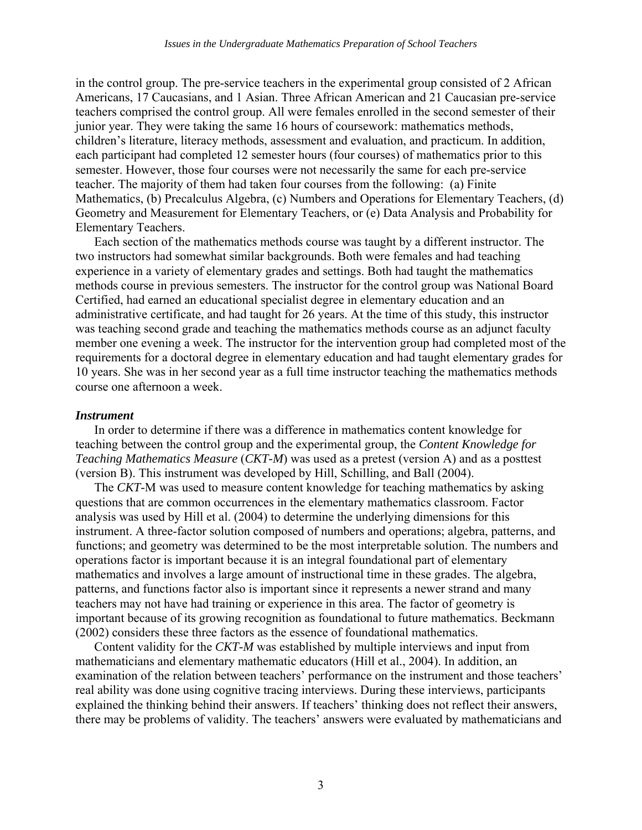in the control group. The pre-service teachers in the experimental group consisted of 2 African Americans, 17 Caucasians, and 1 Asian. Three African American and 21 Caucasian pre-service teachers comprised the control group. All were females enrolled in the second semester of their junior year. They were taking the same 16 hours of coursework: mathematics methods, children's literature, literacy methods, assessment and evaluation, and practicum. In addition, each participant had completed 12 semester hours (four courses) of mathematics prior to this semester. However, those four courses were not necessarily the same for each pre-service teacher. The majority of them had taken four courses from the following: (a) Finite Mathematics, (b) Precalculus Algebra, (c) Numbers and Operations for Elementary Teachers, (d) Geometry and Measurement for Elementary Teachers, or (e) Data Analysis and Probability for Elementary Teachers.

Each section of the mathematics methods course was taught by a different instructor. The two instructors had somewhat similar backgrounds. Both were females and had teaching experience in a variety of elementary grades and settings. Both had taught the mathematics methods course in previous semesters. The instructor for the control group was National Board Certified, had earned an educational specialist degree in elementary education and an administrative certificate, and had taught for 26 years. At the time of this study, this instructor was teaching second grade and teaching the mathematics methods course as an adjunct faculty member one evening a week. The instructor for the intervention group had completed most of the requirements for a doctoral degree in elementary education and had taught elementary grades for 10 years. She was in her second year as a full time instructor teaching the mathematics methods course one afternoon a week.

# *Instrument*

In order to determine if there was a difference in mathematics content knowledge for teaching between the control group and the experimental group, the *Content Knowledge for Teaching Mathematics Measure* (*CKT-M*) was used as a pretest (version A) and as a posttest (version B). This instrument was developed by Hill, Schilling, and Ball (2004).

The *CKT-*M was used to measure content knowledge for teaching mathematics by asking questions that are common occurrences in the elementary mathematics classroom. Factor analysis was used by Hill et al. (2004) to determine the underlying dimensions for this instrument. A three-factor solution composed of numbers and operations; algebra, patterns, and functions; and geometry was determined to be the most interpretable solution. The numbers and operations factor is important because it is an integral foundational part of elementary mathematics and involves a large amount of instructional time in these grades. The algebra, patterns, and functions factor also is important since it represents a newer strand and many teachers may not have had training or experience in this area. The factor of geometry is important because of its growing recognition as foundational to future mathematics. Beckmann (2002) considers these three factors as the essence of foundational mathematics.

Content validity for the *CKT-M* was established by multiple interviews and input from mathematicians and elementary mathematic educators (Hill et al., 2004). In addition, an examination of the relation between teachers' performance on the instrument and those teachers' real ability was done using cognitive tracing interviews. During these interviews, participants explained the thinking behind their answers. If teachers' thinking does not reflect their answers, there may be problems of validity. The teachers' answers were evaluated by mathematicians and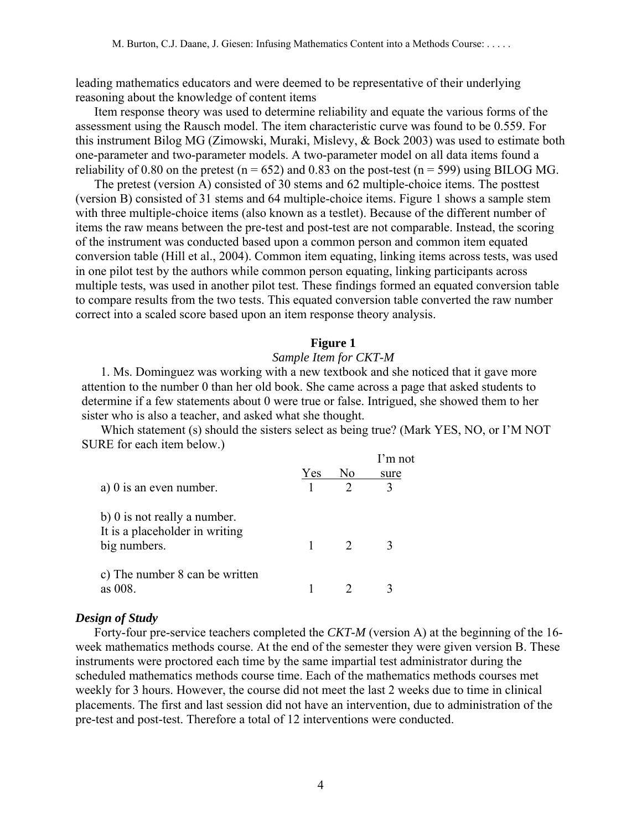leading mathematics educators and were deemed to be representative of their underlying reasoning about the knowledge of content items

Item response theory was used to determine reliability and equate the various forms of the assessment using the Rausch model. The item characteristic curve was found to be 0.559. For this instrument Bilog MG (Zimowski, Muraki, Mislevy, & Bock 2003) was used to estimate both one-parameter and two-parameter models. A two-parameter model on all data items found a reliability of 0.80 on the pretest ( $n = 652$ ) and 0.83 on the post-test ( $n = 599$ ) using BILOG MG.

The pretest (version A) consisted of 30 stems and 62 multiple-choice items. The posttest (version B) consisted of 31 stems and 64 multiple-choice items. Figure 1 shows a sample stem with three multiple-choice items (also known as a testlet). Because of the different number of items the raw means between the pre-test and post-test are not comparable. Instead, the scoring of the instrument was conducted based upon a common person and common item equated conversion table (Hill et al., 2004). Common item equating, linking items across tests, was used in one pilot test by the authors while common person equating, linking participants across multiple tests, was used in another pilot test. These findings formed an equated conversion table to compare results from the two tests. This equated conversion table converted the raw number correct into a scaled score based upon an item response theory analysis.

# **Figure 1**

# *Sample Item for CKT-M*

1. Ms. Dominguez was working with a new textbook and she noticed that it gave more attention to the number 0 than her old book. She came across a page that asked students to determine if a few statements about 0 were true or false. Intrigued, she showed them to her sister who is also a teacher, and asked what she thought.

Which statement (s) should the sisters select as being true? (Mark YES, NO, or I'M NOT SURE for each item below.)

|                                |     |    | I'm not |
|--------------------------------|-----|----|---------|
|                                | Yes | No | sure    |
| a) $0$ is an even number.      |     |    |         |
| b) 0 is not really a number.   |     |    |         |
| It is a placeholder in writing |     |    |         |
| big numbers.                   |     |    |         |
| c) The number 8 can be written |     |    |         |
| as 008.                        |     |    |         |

# *Design of Study*

Forty-four pre-service teachers completed the *CKT-M* (version A) at the beginning of the 16 week mathematics methods course. At the end of the semester they were given version B. These instruments were proctored each time by the same impartial test administrator during the scheduled mathematics methods course time. Each of the mathematics methods courses met weekly for 3 hours. However, the course did not meet the last 2 weeks due to time in clinical placements. The first and last session did not have an intervention, due to administration of the pre-test and post-test. Therefore a total of 12 interventions were conducted.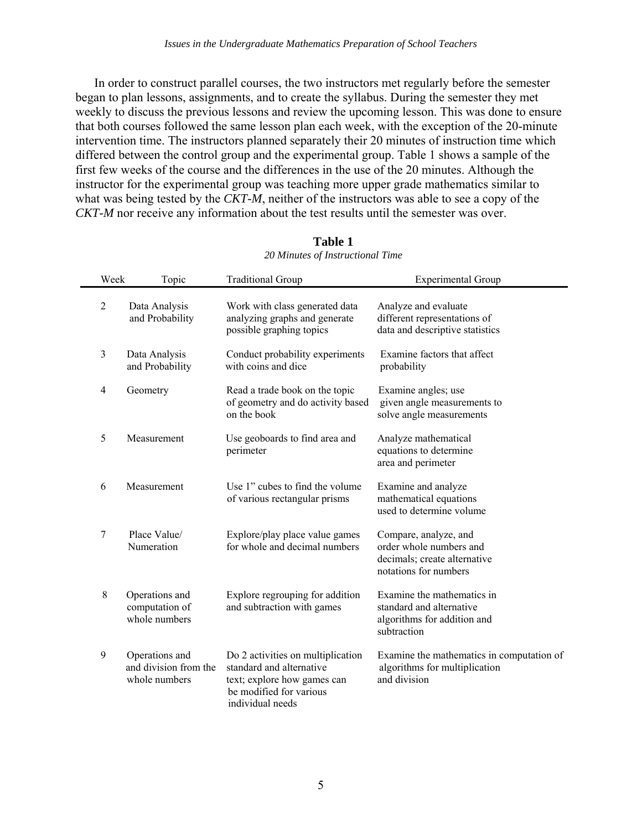In order to construct parallel courses, the two instructors met regularly before the semester began to plan lessons, assignments, and to create the syllabus. During the semester they met weekly to discuss the previous lessons and review the upcoming lesson. This was done to ensure that both courses followed the same lesson plan each week, with the exception of the 20-minute intervention time. The instructors planned separately their 20 minutes of instruction time which differed between the control group and the experimental group. Table 1 shows a sample of the first few weeks of the course and the differences in the use of the 20 minutes. Although the instructor for the experimental group was teaching more upper grade mathematics similar to what was being tested by the *CKT-M*, neither of the instructors was able to see a copy of the *CKT-M* nor receive any information about the test results until the semester was over.

| Week             | Topic                                                    | <b>Traditional Group</b>                                                                                                                    | <b>Experimental Group</b>                                                                                 |
|------------------|----------------------------------------------------------|---------------------------------------------------------------------------------------------------------------------------------------------|-----------------------------------------------------------------------------------------------------------|
| $\sqrt{2}$       | Data Analysis<br>and Probability                         | Work with class generated data<br>analyzing graphs and generate<br>possible graphing topics                                                 | Analyze and evaluate<br>different representations of<br>data and descriptive statistics                   |
| 3                | Data Analysis<br>and Probability                         | Conduct probability experiments<br>with coins and dice                                                                                      | Examine factors that affect<br>probability                                                                |
| 4                | Geometry                                                 | Read a trade book on the topic<br>of geometry and do activity based<br>on the book                                                          | Examine angles; use<br>given angle measurements to<br>solve angle measurements                            |
| 5                | Measurement                                              | Use geoboards to find area and<br>perimeter                                                                                                 | Analyze mathematical<br>equations to determine<br>area and perimeter                                      |
| 6                | Measurement                                              | Use 1" cubes to find the volume<br>of various rectangular prisms                                                                            | Examine and analyze<br>mathematical equations<br>used to determine volume                                 |
| 7                | Place Value/<br>Numeration                               | Explore/play place value games<br>for whole and decimal numbers                                                                             | Compare, analyze, and<br>order whole numbers and<br>decimals; create alternative<br>notations for numbers |
| $\,$ 8 $\,$      | Operations and<br>computation of<br>whole numbers        | Explore regrouping for addition<br>and subtraction with games                                                                               | Examine the mathematics in<br>standard and alternative<br>algorithms for addition and<br>subtraction      |
| $\boldsymbol{9}$ | Operations and<br>and division from the<br>whole numbers | Do 2 activities on multiplication<br>standard and alternative<br>text; explore how games can<br>be modified for various<br>individual needs | Examine the mathematics in computation of<br>algorithms for multiplication<br>and division                |

#### **Table 1**  *20 Minutes of Instructional Time*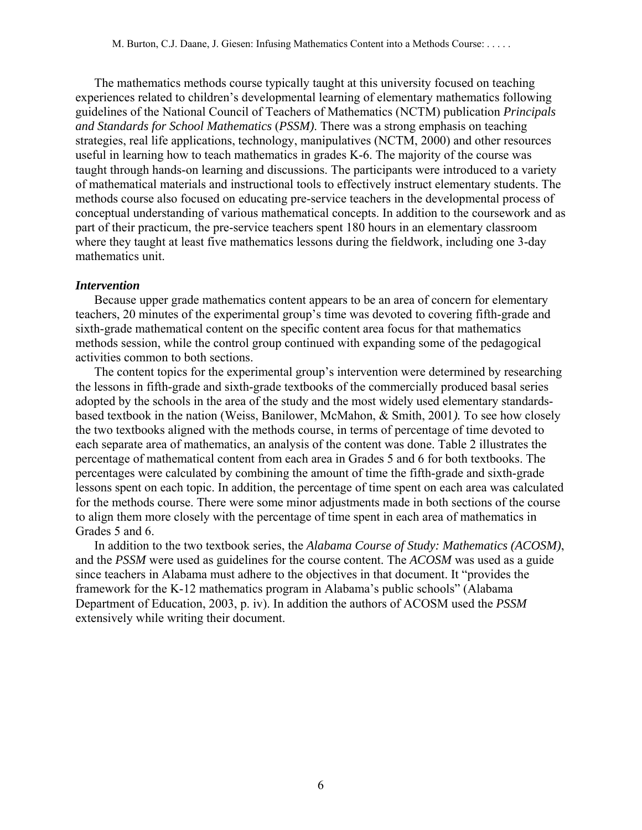The mathematics methods course typically taught at this university focused on teaching experiences related to children's developmental learning of elementary mathematics following guidelines of the National Council of Teachers of Mathematics (NCTM) publication *Principals and Standards for School Mathematics* (*PSSM)*. There was a strong emphasis on teaching strategies, real life applications, technology, manipulatives (NCTM, 2000) and other resources useful in learning how to teach mathematics in grades K-6. The majority of the course was taught through hands-on learning and discussions. The participants were introduced to a variety of mathematical materials and instructional tools to effectively instruct elementary students. The methods course also focused on educating pre-service teachers in the developmental process of conceptual understanding of various mathematical concepts. In addition to the coursework and as part of their practicum, the pre-service teachers spent 180 hours in an elementary classroom where they taught at least five mathematics lessons during the fieldwork, including one 3-day mathematics unit.

#### *Intervention*

Because upper grade mathematics content appears to be an area of concern for elementary teachers, 20 minutes of the experimental group's time was devoted to covering fifth-grade and sixth-grade mathematical content on the specific content area focus for that mathematics methods session, while the control group continued with expanding some of the pedagogical activities common to both sections.

The content topics for the experimental group's intervention were determined by researching the lessons in fifth-grade and sixth-grade textbooks of the commercially produced basal series adopted by the schools in the area of the study and the most widely used elementary standardsbased textbook in the nation (Weiss, Banilower, McMahon, & Smith, 2001*).* To see how closely the two textbooks aligned with the methods course, in terms of percentage of time devoted to each separate area of mathematics, an analysis of the content was done. Table 2 illustrates the percentage of mathematical content from each area in Grades 5 and 6 for both textbooks. The percentages were calculated by combining the amount of time the fifth-grade and sixth-grade lessons spent on each topic. In addition, the percentage of time spent on each area was calculated for the methods course. There were some minor adjustments made in both sections of the course to align them more closely with the percentage of time spent in each area of mathematics in Grades 5 and 6.

In addition to the two textbook series, the *Alabama Course of Study: Mathematics (ACOSM)*, and the *PSSM* were used as guidelines for the course content. The *ACOSM* was used as a guide since teachers in Alabama must adhere to the objectives in that document. It "provides the framework for the K-12 mathematics program in Alabama's public schools" (Alabama Department of Education, 2003, p. iv). In addition the authors of ACOSM used the *PSSM* extensively while writing their document.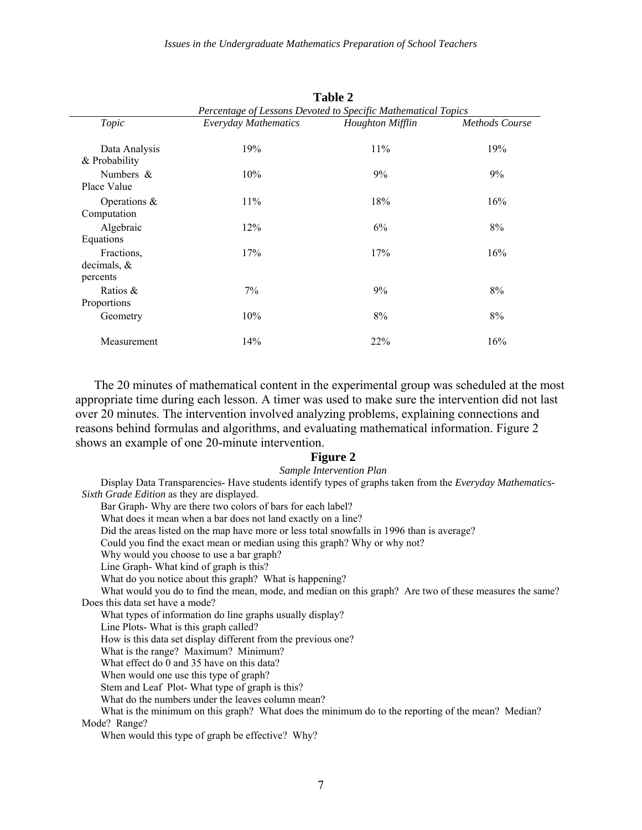**Table 2** 

|                                          | $1$ avit $\mu$<br>Percentage of Lessons Devoted to Specific Mathematical Topics |                         |                       |  |
|------------------------------------------|---------------------------------------------------------------------------------|-------------------------|-----------------------|--|
| Topic                                    | <b>Everyday Mathematics</b>                                                     | <b>Houghton Mifflin</b> | <b>Methods Course</b> |  |
| Data Analysis<br>& Probability           | 19%                                                                             | 11%                     | 19%                   |  |
| Numbers $\&$<br>Place Value              | 10%                                                                             | 9%                      | 9%                    |  |
| Operations $\&$<br>Computation           | 11%                                                                             | 18%                     | 16%                   |  |
| Algebraic<br>Equations                   | 12%                                                                             | 6%                      | 8%                    |  |
| Fractions.<br>decimals, $\&$<br>percents | 17%                                                                             | 17%                     | 16%                   |  |
| Ratios &<br>Proportions                  | 7%                                                                              | 9%                      | 8%                    |  |
| Geometry                                 | 10%                                                                             | 8%                      | 8%                    |  |
| Measurement                              | 14%                                                                             | 22%                     | 16%                   |  |

The 20 minutes of mathematical content in the experimental group was scheduled at the most appropriate time during each lesson. A timer was used to make sure the intervention did not last over 20 minutes. The intervention involved analyzing problems, explaining connections and reasons behind formulas and algorithms, and evaluating mathematical information. Figure 2 shows an example of one 20-minute intervention.

### **Figure 2**

#### *Sample Intervention Plan*

Display Data Transparencies- Have students identify types of graphs taken from the *Everyday Mathematics-Sixth Grade Edition* as they are displayed. Bar Graph- Why are there two colors of bars for each label? What does it mean when a bar does not land exactly on a line? Did the areas listed on the map have more or less total snowfalls in 1996 than is average? Could you find the exact mean or median using this graph? Why or why not? Why would you choose to use a bar graph? Line Graph- What kind of graph is this? What do you notice about this graph? What is happening? What would you do to find the mean, mode, and median on this graph? Are two of these measures the same? Does this data set have a mode? What types of information do line graphs usually display? Line Plots- What is this graph called? How is this data set display different from the previous one? What is the range? Maximum? Minimum? What effect do 0 and 35 have on this data? When would one use this type of graph? Stem and Leaf Plot- What type of graph is this? What do the numbers under the leaves column mean? What is the minimum on this graph? What does the minimum do to the reporting of the mean? Median? Mode? Range? When would this type of graph be effective? Why?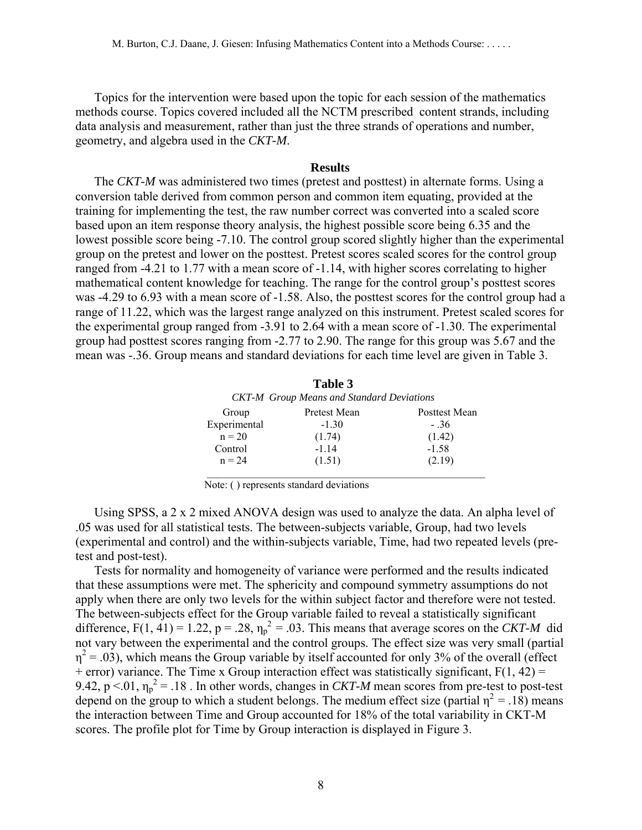Topics for the intervention were based upon the topic for each session of the mathematics methods course. Topics covered included all the NCTM prescribed content strands, including data analysis and measurement, rather than just the three strands of operations and number, geometry, and algebra used in the *CKT-M*.

### **Results**

The *CKT-M* was administered two times (pretest and posttest) in alternate forms. Using a conversion table derived from common person and common item equating, provided at the training for implementing the test, the raw number correct was converted into a scaled score based upon an item response theory analysis, the highest possible score being 6.35 and the lowest possible score being -7.10. The control group scored slightly higher than the experimental group on the pretest and lower on the posttest. Pretest scores scaled scores for the control group ranged from -4.21 to 1.77 with a mean score of -1.14, with higher scores correlating to higher mathematical content knowledge for teaching. The range for the control group's posttest scores was -4.29 to 6.93 with a mean score of -1.58. Also, the posttest scores for the control group had a range of 11.22, which was the largest range analyzed on this instrument. Pretest scaled scores for the experimental group ranged from -3.91 to 2.64 with a mean score of -1.30. The experimental group had posttest scores ranging from -2.77 to 2.90. The range for this group was 5.67 and the mean was -.36. Group means and standard deviations for each time level are given in Table 3.

|              | Table 3                                          |               |  |  |
|--------------|--------------------------------------------------|---------------|--|--|
|              | <b>CKT-M</b> Group Means and Standard Deviations |               |  |  |
| Group        | Pretest Mean                                     | Posttest Mean |  |  |
| Experimental | $-1.30$                                          | $-.36$        |  |  |
| $n = 20$     | (1.74)                                           | (1.42)        |  |  |
| Control      | $-1.14$                                          | $-1.58$       |  |  |
| $n = 24$     | (1.51)                                           | (2.19)        |  |  |
|              |                                                  |               |  |  |

Note: ( ) represents standard deviations

Using SPSS, a 2 x 2 mixed ANOVA design was used to analyze the data. An alpha level of .05 was used for all statistical tests. The between-subjects variable, Group, had two levels (experimental and control) and the within-subjects variable, Time, had two repeated levels (pretest and post-test).

Tests for normality and homogeneity of variance were performed and the results indicated that these assumptions were met. The sphericity and compound symmetry assumptions do not apply when there are only two levels for the within subject factor and therefore were not tested. The between-subjects effect for the Group variable failed to reveal a statistically significant difference,  $F(1, 41) = 1.22$ ,  $p = .28$ ,  $\eta_p^2 = .03$ . This means that average scores on the *CKT-M* did not vary between the experimental and the control groups. The effect size was very small (partial  $\eta^2$  = .03), which means the Group variable by itself accounted for only 3% of the overall (effect  $+$  error) variance. The Time x Group interaction effect was statistically significant,  $F(1, 42) =$ 9.42,  $p < 01$ ,  $\eta_p^2 = 0.18$ . In other words, changes in *CKT-M* mean scores from pre-test to post-test depend on the group to which a student belongs. The medium effect size (partial  $\eta^2 = .18$ ) means the interaction between Time and Group accounted for 18% of the total variability in CKT-M scores. The profile plot for Time by Group interaction is displayed in Figure 3.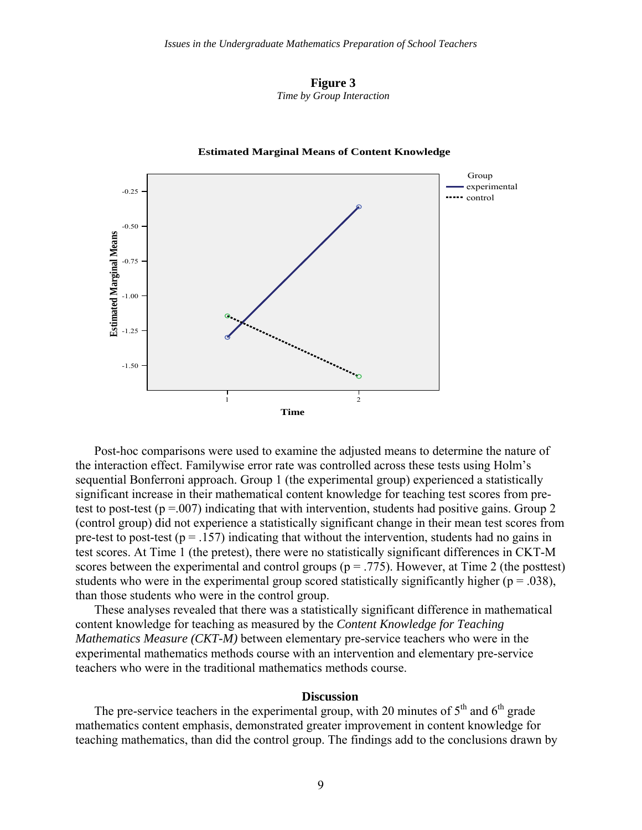



#### **Estimated Marginal Means of Content Knowledge**

Post-hoc comparisons were used to examine the adjusted means to determine the nature of the interaction effect. Familywise error rate was controlled across these tests using Holm's sequential Bonferroni approach. Group 1 (the experimental group) experienced a statistically significant increase in their mathematical content knowledge for teaching test scores from pretest to post-test ( $p = 0.007$ ) indicating that with intervention, students had positive gains. Group 2 (control group) did not experience a statistically significant change in their mean test scores from pre-test to post-test ( $p = .157$ ) indicating that without the intervention, students had no gains in test scores. At Time 1 (the pretest), there were no statistically significant differences in CKT-M scores between the experimental and control groups ( $p = .775$ ). However, at Time 2 (the posttest) students who were in the experimental group scored statistically significantly higher ( $p = .038$ ), than those students who were in the control group.

These analyses revealed that there was a statistically significant difference in mathematical content knowledge for teaching as measured by the *Content Knowledge for Teaching Mathematics Measure (CKT-M)* between elementary pre-service teachers who were in the experimental mathematics methods course with an intervention and elementary pre-service teachers who were in the traditional mathematics methods course.

#### **Discussion**

The pre-service teachers in the experimental group, with 20 minutes of  $5<sup>th</sup>$  and  $6<sup>th</sup>$  grade mathematics content emphasis, demonstrated greater improvement in content knowledge for teaching mathematics, than did the control group. The findings add to the conclusions drawn by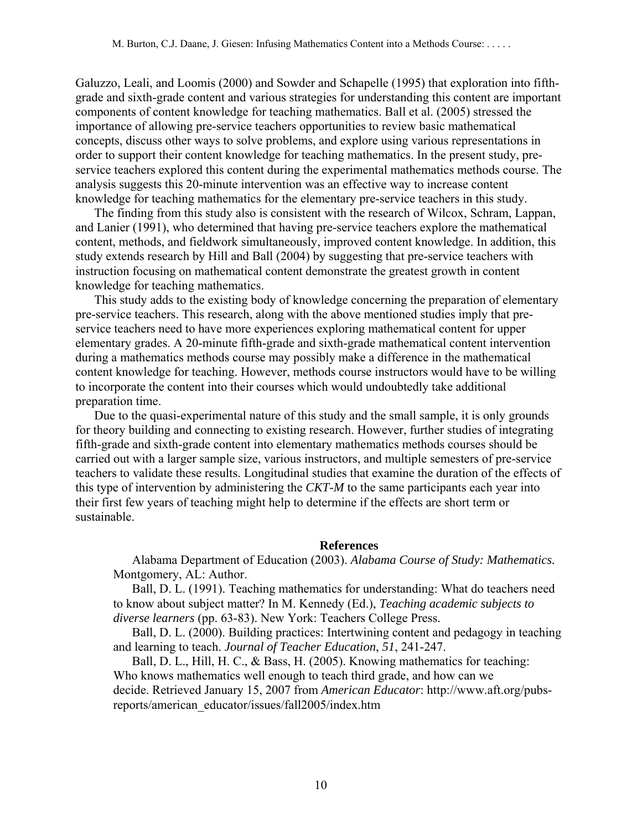Galuzzo, Leali, and Loomis (2000) and Sowder and Schapelle (1995) that exploration into fifthgrade and sixth-grade content and various strategies for understanding this content are important components of content knowledge for teaching mathematics. Ball et al. (2005) stressed the importance of allowing pre-service teachers opportunities to review basic mathematical concepts, discuss other ways to solve problems, and explore using various representations in order to support their content knowledge for teaching mathematics. In the present study, preservice teachers explored this content during the experimental mathematics methods course. The analysis suggests this 20-minute intervention was an effective way to increase content knowledge for teaching mathematics for the elementary pre-service teachers in this study.

The finding from this study also is consistent with the research of Wilcox, Schram, Lappan, and Lanier (1991), who determined that having pre-service teachers explore the mathematical content, methods, and fieldwork simultaneously, improved content knowledge. In addition, this study extends research by Hill and Ball (2004) by suggesting that pre-service teachers with instruction focusing on mathematical content demonstrate the greatest growth in content knowledge for teaching mathematics.

This study adds to the existing body of knowledge concerning the preparation of elementary pre-service teachers. This research, along with the above mentioned studies imply that preservice teachers need to have more experiences exploring mathematical content for upper elementary grades. A 20-minute fifth-grade and sixth-grade mathematical content intervention during a mathematics methods course may possibly make a difference in the mathematical content knowledge for teaching. However, methods course instructors would have to be willing to incorporate the content into their courses which would undoubtedly take additional preparation time.

Due to the quasi-experimental nature of this study and the small sample, it is only grounds for theory building and connecting to existing research. However, further studies of integrating fifth-grade and sixth-grade content into elementary mathematics methods courses should be carried out with a larger sample size, various instructors, and multiple semesters of pre-service teachers to validate these results. Longitudinal studies that examine the duration of the effects of this type of intervention by administering the *CKT-M* to the same participants each year into their first few years of teaching might help to determine if the effects are short term or sustainable.

# **References**

Alabama Department of Education (2003). *Alabama Course of Study: Mathematics.*  Montgomery, AL: Author.

Ball, D. L. (1991). Teaching mathematics for understanding: What do teachers need to know about subject matter? In M. Kennedy (Ed.), *Teaching academic subjects to diverse learners* (pp. 63-83). New York: Teachers College Press.

Ball, D. L. (2000). Building practices: Intertwining content and pedagogy in teaching and learning to teach. *Journal of Teacher Education*, *51*, 241-247.

Ball, D. L., Hill, H. C., & Bass, H. (2005). Knowing mathematics for teaching: Who knows mathematics well enough to teach third grade, and how can we decide. Retrieved January 15, 2007 from *American Educator*: http://www.aft.org/pubsreports/american\_educator/issues/fall2005/index.htm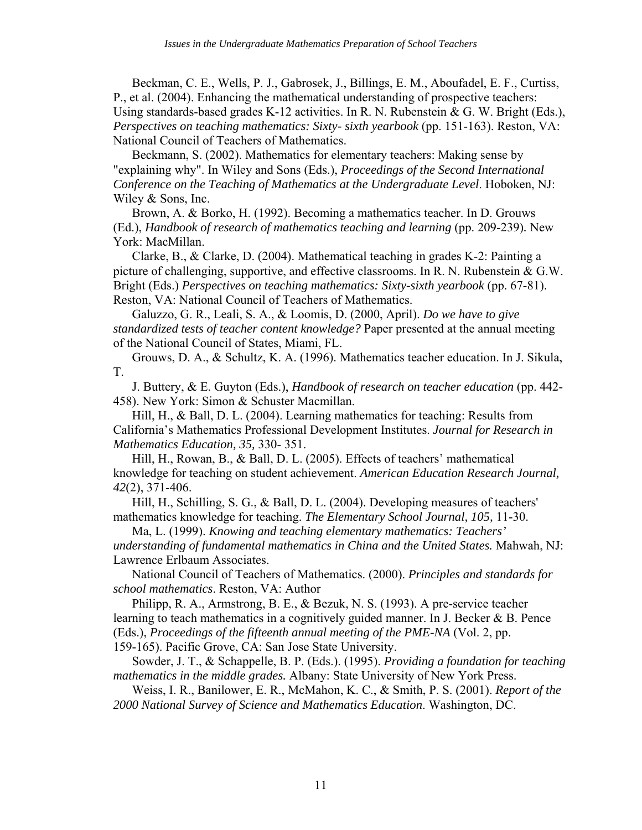Beckman, C. E., Wells, P. J., Gabrosek, J., Billings, E. M., Aboufadel, E. F., Curtiss, P., et al. (2004). Enhancing the mathematical understanding of prospective teachers: Using standards-based grades K-12 activities. In R. N. Rubenstein & G. W. Bright (Eds.), *Perspectives on teaching mathematics: Sixty- sixth yearbook* (pp. 151-163). Reston, VA: National Council of Teachers of Mathematics.

Beckmann, S. (2002). Mathematics for elementary teachers: Making sense by "explaining why". In Wiley and Sons (Eds.), *Proceedings of the Second International Conference on the Teaching of Mathematics at the Undergraduate Level*. Hoboken, NJ: Wiley & Sons, Inc.

Brown, A. & Borko, H. (1992). Becoming a mathematics teacher. In D. Grouws (Ed.), *Handbook of research of mathematics teaching and learning* (pp. 209-239)*.* New York: MacMillan.

Clarke, B., & Clarke, D. (2004). Mathematical teaching in grades K-2: Painting a picture of challenging, supportive, and effective classrooms. In R. N. Rubenstein & G.W. Bright (Eds.) *Perspectives on teaching mathematics: Sixty-sixth yearbook* (pp. 67-81). Reston, VA: National Council of Teachers of Mathematics.

Galuzzo, G. R., Leali, S. A., & Loomis, D. (2000, April). *Do we have to give standardized tests of teacher content knowledge?* Paper presented at the annual meeting of the National Council of States, Miami, FL.

Grouws, D. A., & Schultz, K. A. (1996). Mathematics teacher education. In J. Sikula, T.

J. Buttery, & E. Guyton (Eds.), *Handbook of research on teacher education* (pp. 442- 458). New York: Simon & Schuster Macmillan.

Hill, H., & Ball, D. L. (2004). Learning mathematics for teaching: Results from California's Mathematics Professional Development Institutes. *Journal for Research in Mathematics Education, 35,* 330- 351.

Hill, H., Rowan, B., & Ball, D. L. (2005). Effects of teachers' mathematical knowledge for teaching on student achievement. *American Education Research Journal, 42*(2), 371-406.

Hill, H., Schilling, S. G., & Ball, D. L. (2004). Developing measures of teachers' mathematics knowledge for teaching. *The Elementary School Journal, 105,* 11-30.

Ma, L. (1999). *Knowing and teaching elementary mathematics: Teachers' understanding of fundamental mathematics in China and the United States.* Mahwah, NJ: Lawrence Erlbaum Associates.

National Council of Teachers of Mathematics. (2000). *Principles and standards for school mathematics*. Reston, VA: Author

Philipp, R. A., Armstrong, B. E., & Bezuk, N. S. (1993). A pre-service teacher learning to teach mathematics in a cognitively guided manner. In J. Becker & B. Pence (Eds.), *Proceedings of the fifteenth annual meeting of the PME-NA* (Vol. 2, pp. 159-165). Pacific Grove, CA: San Jose State University.

Sowder, J. T., & Schappelle, B. P. (Eds.). (1995). *Providing a foundation for teaching mathematics in the middle grades.* Albany: State University of New York Press.

Weiss, I. R., Banilower, E. R., McMahon, K. C., & Smith, P. S. (2001). *Report of the 2000 National Survey of Science and Mathematics Education*. Washington, DC.